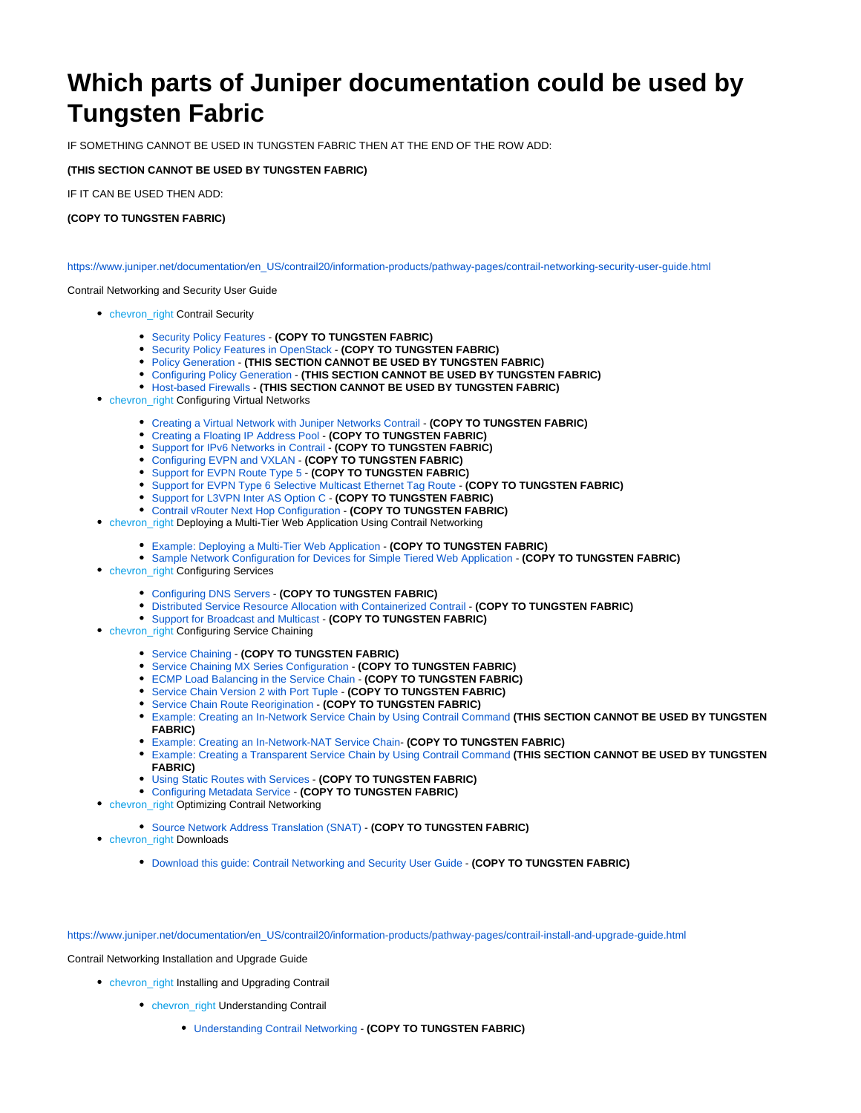# **Which parts of Juniper documentation could be used by Tungsten Fabric**

IF SOMETHING CANNOT BE USED IN TUNGSTEN FABRIC THEN AT THE END OF THE ROW ADD:

## **(THIS SECTION CANNOT BE USED BY TUNGSTEN FABRIC)**

IF IT CAN BE USED THEN ADD:

## **(COPY TO TUNGSTEN FABRIC)**

[https://www.juniper.net/documentation/en\\_US/contrail20/information-products/pathway-pages/contrail-networking-security-user-guide.html](https://www.juniper.net/documentation/en_US/contrail20/information-products/pathway-pages/contrail-networking-security-user-guide.html)

#### Contrail Networking and Security User Guide

- chevron\_right Contrail Security
	- [Security Policy Features](https://www.juniper.net/documentation/en_US/contrail20/topics/concept/security-policy-enhancements.html)  **(COPY TO TUNGSTEN FABRIC)**
	- [Security Policy Features in OpenStack](https://www.juniper.net/documentation/en_US/contrail20/topics/concept/openstack-security-policy-features.html)  **(COPY TO TUNGSTEN FABRIC)**
	- [Policy Generation](https://www.juniper.net/documentation/en_US/contrail20/topics/concept/security-policy-generation.html) **(THIS SECTION CANNOT BE USED BY TUNGSTEN FABRIC)**
	- [Configuring Policy Generation](https://www.juniper.net/documentation/en_US/contrail20/topics/task/configuration/security-policy-generation-configuring.html)  **(THIS SECTION CANNOT BE USED BY TUNGSTEN FABRIC)**
	- [Host-based Firewalls](https://www.juniper.net/documentation/en_US/contrail20/topics/topic-map/host-based-firewalls.html) **(THIS SECTION CANNOT BE USED BY TUNGSTEN FABRIC)**
- **chevron\_right Configuring Virtual Networks** 
	- [Creating a Virtual Network with Juniper Networks Contrail](https://www.juniper.net/documentation/en_US/contrail20/topics/task/configuration/creating-virtual-network-juniper-vnc.html)  **(COPY TO TUNGSTEN FABRIC)**
	- [Creating a Floating IP Address Pool](https://www.juniper.net/documentation/en_US/contrail20/topics/task/configuration/creating-ip-address-pool-vnc.html) **(COPY TO TUNGSTEN FABRIC)**
	- [Support for IPv6 Networks in Contrail](https://www.juniper.net/documentation/en_US/contrail20/topics/concept/ipv6-networks-vnc.html) **(COPY TO TUNGSTEN FABRIC)**
	- [Configuring EVPN and VXLAN](https://www.juniper.net/documentation/en_US/contrail20/topics/task/configuration/evpn-vxlan-configuring.html) **(COPY TO TUNGSTEN FABRIC)**
	- [Support for EVPN Route Type 5](https://www.juniper.net/documentation/en_US/contrail20/topics/concept/contrail-evpn-route-type-5-ip-prefix-route.html)  **(COPY TO TUNGSTEN FABRIC)**
	- **[Support for EVPN Type 6 Selective Multicast Ethernet Tag Route](https://www.juniper.net/documentation/en_US/contrail20/topics/reference/evpn-type-6-selective-multicast-ethernet-tag-route.html) (COPY TO TUNGSTEN FABRIC)**
	- [Support for L3VPN Inter AS Option C](https://www.juniper.net/documentation/en_US/contrail20/topics/concept/contrail-inter-as-option-c.html)  **(COPY TO TUNGSTEN FABRIC)**
	- [Contrail vRouter Next Hop Configuration](https://www.juniper.net/documentation/en_US/contrail20/topics/concept/next-hop-limit-increase.html) **(COPY TO TUNGSTEN FABRIC)**
- chevron\_right Deploying a Multi-Tier Web Application Using Contrail Networking
	- [Example: Deploying a Multi-Tier Web Application](https://www.juniper.net/documentation/en_US/contrail20/topics/task/configuration/web-use-case-vnc.html)  **(COPY TO TUNGSTEN FABRIC)**
	- **[Sample Network Configuration for Devices for Simple Tiered Web Application](https://www.juniper.net/documentation/en_US/contrail20/topics/reference/code-example-vnc.html)  (COPY TO TUNGSTEN FABRIC)**
- **chevron\_right Configuring Services** 
	- [Configuring DNS Servers](https://www.juniper.net/documentation/en_US/contrail20/topics/task/configuration/configure-dns-vnc.html) **(COPY TO TUNGSTEN FABRIC)**
	- **[Distributed Service Resource Allocation with Containerized Contrail](https://www.juniper.net/documentation/en_US/contrail20/topics/concept/distributed-service-resource-allocation.html) (COPY TO TUNGSTEN FABRIC)**
	- [Support for Broadcast and Multicast](https://www.juniper.net/documentation/en_US/contrail20/topics/task/configuration/broadcast-vnc.html) **(COPY TO TUNGSTEN FABRIC)**
- chevron\_right Configuring Service Chaining
	- [Service Chaining](https://www.juniper.net/documentation/en_US/contrail20/topics/task/configuration/service-chaining-vnc.html)  **(COPY TO TUNGSTEN FABRIC)**
	- [Service Chaining MX Series Configuration](https://www.juniper.net/documentation/en_US/contrail20/topics/task/configuration/service-chaining-mx.html) **(COPY TO TUNGSTEN FABRIC)**
	- [ECMP Load Balancing in the Service Chain](https://www.juniper.net/documentation/en_US/contrail20/topics/concept/load-balancing-vnc.html)  **(COPY TO TUNGSTEN FABRIC)**
	- [Service Chain Version 2 with Port Tuple](https://www.juniper.net/documentation/en_US/contrail20/topics/concept/service-chain-port-tuple.html)  **(COPY TO TUNGSTEN FABRIC)**
	- [Service Chain Route Reorigination](https://www.juniper.net/documentation/en_US/contrail20/topics/task/configuration/service-chain-route-reorig-vnc.html) **(COPY TO TUNGSTEN FABRIC)**
	- [Example: Creating an In-Network Service Chain by Using Contrail Command](https://www.juniper.net/documentation/en_US/contrail20/topics/example/example-create-innetwork-service-chain.html) **(THIS SECTION CANNOT BE USED BY TUNGSTEN FABRIC)**
	- [Example: Creating an In-Network-NAT Service Chain-](https://www.juniper.net/documentation/en_US/contrail20/topics/example/example-create-innetwork-nat-service-chain.html) **(COPY TO TUNGSTEN FABRIC)**
	- [Example: Creating a Transparent Service Chain by Using Contrail Command](https://www.juniper.net/documentation/en_US/contrail20/topics/example/example-create-transparent-service-chain.html) **(THIS SECTION CANNOT BE USED BY TUNGSTEN FABRIC)**
	- [Using Static Routes with Services](https://www.juniper.net/documentation/en_US/contrail20/topics/task/configuration/static-routes-for-services-vnc.html) **(COPY TO TUNGSTEN FABRIC)**
	- [Configuring Metadata Service](https://www.juniper.net/documentation/en_US/contrail20/topics/task/configuration/configure-metadata-service-vnc.html)  **(COPY TO TUNGSTEN FABRIC)**
- chevron\_right Optimizing Contrail Networking
	- [Source Network Address Translation \(SNAT\)](https://www.juniper.net/documentation/en_US/contrail20/topics/task/configuration/snat-vnc.html) **(COPY TO TUNGSTEN FABRIC)**
- chevron\_right Downloads
	- [Download this guide: Contrail Networking and Security User Guide](https://www.juniper.net/documentation/en_US/contrail20/information-products/pathway-pages/contrail-networking-security-user-guide.pdf)  **(COPY TO TUNGSTEN FABRIC)**

[https://www.juniper.net/documentation/en\\_US/contrail20/information-products/pathway-pages/contrail-install-and-upgrade-guide.html](https://www.juniper.net/documentation/en_US/contrail20/information-products/pathway-pages/contrail-install-and-upgrade-guide.html)

Contrail Networking Installation and Upgrade Guide

- chevron\_right Installing and Upgrading Contrail
	- **chevron\_right Understanding Contrail** 
		- [Understanding Contrail Networking](https://www.juniper.net/documentation/en_US/contrail20/topics/concept/understanding-contrail-networking.html) **(COPY TO TUNGSTEN FABRIC)**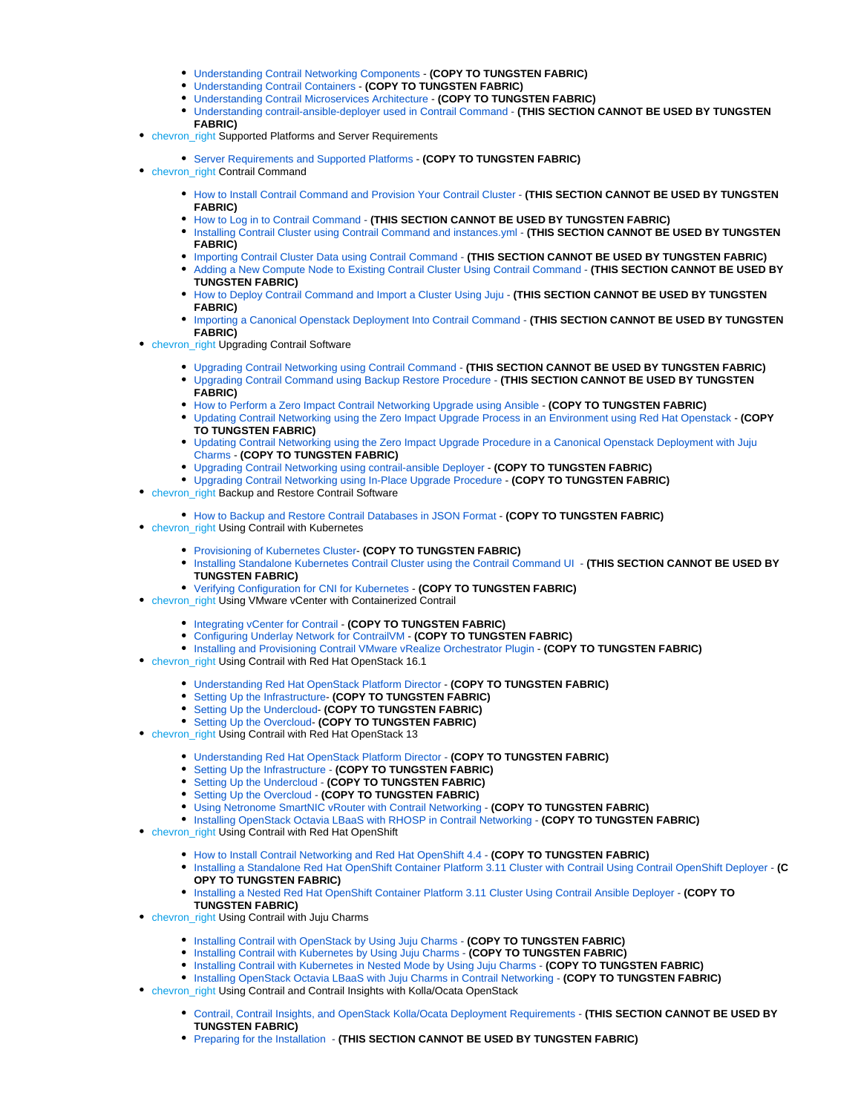- [Understanding Contrail Networking Components](https://www.juniper.net/documentation/en_US/contrail20/topics/concept/understanding-contrail-networking-components.html)  **(COPY TO TUNGSTEN FABRIC)**
- [Understanding Contrail Containers](https://www.juniper.net/documentation/en_US/contrail20/topics/concept/summary-of-container-design.html) **(COPY TO TUNGSTEN FABRIC)**
- [Understanding Contrail Microservices Architecture](https://www.juniper.net/documentation/en_US/contrail20/topics/concept/intro-microservices-contrail.html)  **(COPY TO TUNGSTEN FABRIC)**
- [Understanding contrail-ansible-deployer used in Contrail Command](https://www.juniper.net/documentation/en_US/contrail20/topics/concept/install-contrail-overview-ansible-50.html) **(THIS SECTION CANNOT BE USED BY TUNGSTEN FABRIC)**
- chevron\_right Supported Platforms and Server Requirements
	- [Server Requirements and Supported Platforms](https://www.juniper.net/documentation/en_US/contrail20/topics/task/installation/hardware-reqs-vnc.html)  **(COPY TO TUNGSTEN FABRIC)**
- chevron\_right Contrail Command
	- **[How to Install Contrail Command and Provision Your Contrail Cluster](https://www.juniper.net/documentation/en_US/contrail20/topics/task/installation/how-to-install-contrail-command-and-provision-cluster.html) (THIS SECTION CANNOT BE USED BY TUNGSTEN FABRIC)**
	- **[How to Log in to Contrail Command](https://www.juniper.net/documentation/en_US/contrail20/topics/task/operational/logging-into-contrail-command.html) (THIS SECTION CANNOT BE USED BY TUNGSTEN FABRIC)**
	- **[Installing Contrail Cluster using Contrail Command and instances.yml](https://www.juniper.net/documentation/en_US/contrail20/topics/task/configuration/deploy-cluster-contrail-command-instances-yml.html) (THIS SECTION CANNOT BE USED BY TUNGSTEN FABRIC)**
	- **[Importing Contrail Cluster Data using Contrail Command](https://www.juniper.net/documentation/en_US/contrail20/topics/task/configuration/import-cluster-data-contrail-command.html) (THIS SECTION CANNOT BE USED BY TUNGSTEN FABRIC)**
	- [Adding a New Compute Node to Existing Contrail Cluster Using Contrail Command](https://www.juniper.net/documentation/en_US/contrail20/topics/task/configuration/adding-new-compute-node-cc.html) **(THIS SECTION CANNOT BE USED BY TUNGSTEN FABRIC)**
	- [How to Deploy Contrail Command and Import a Cluster Using Juju](https://www.juniper.net/documentation/en_US/contrail20/topics/task/installation/deploy-contrail-command-import-cluster-canonical-juju.html) **(THIS SECTION CANNOT BE USED BY TUNGSTEN FABRIC)**
	- **[Importing a Canonical Openstack Deployment Into Contrail Command](https://www.juniper.net/documentation/en_US/contrail20/topics/task/installation/install-contrail-command-canonical-openstack.html) (THIS SECTION CANNOT BE USED BY TUNGSTEN FABRIC)**
- chevron\_right Upgrading Contrail Software
	- **[Upgrading Contrail Networking using Contrail Command](https://www.juniper.net/documentation/en_US/contrail20/topics/task/operational/upgrade-contrail-cc.html) (THIS SECTION CANNOT BE USED BY TUNGSTEN FABRIC)** [Upgrading Contrail Command using Backup Restore Procedure](https://www.juniper.net/documentation/en_US/contrail20/topics/task/operational/upgrade-using-backup-restore.html) - **(THIS SECTION CANNOT BE USED BY TUNGSTEN**
	- **FABRIC)**
	- [How to Perform a Zero Impact Contrail Networking Upgrade using Ansible](https://www.juniper.net/documentation/en_US/contrail20/topics/task/installation/installing-contrail-ansible-ziu.html)  **(COPY TO TUNGSTEN FABRIC)**
	- [Updating Contrail Networking using the Zero Impact Upgrade Process in an Environment using Red Hat Openstack](https://www.juniper.net/documentation/en_US/contrail20/topics/task/installation/install-contrail-rhosp-ziu.html) **(COPY TO TUNGSTEN FABRIC)**
	- [Updating Contrail Networking using the Zero Impact Upgrade Procedure in a Canonical Openstack Deployment with Juju](https://www.juniper.net/documentation/en_US/contrail20/topics/task/installation/update-canonical-openstack-juju.html)  [Charms](https://www.juniper.net/documentation/en_US/contrail20/topics/task/installation/update-canonical-openstack-juju.html) - **(COPY TO TUNGSTEN FABRIC)**
	- [Upgrading Contrail Networking using contrail-ansible Deployer](https://www.juniper.net/documentation/en_US/contrail20/topics/task/operational/upgrade-contrail-ansible-deployer.html)  **(COPY TO TUNGSTEN FABRIC)**
	- [Upgrading Contrail Networking using In-Place Upgrade Procedure](https://www.juniper.net/documentation/en_US/contrail20/topics/task/operational/upgrade-in-place.html) **(COPY TO TUNGSTEN FABRIC)**
- chevron\_right Backup and Restore Contrail Software
	- [How to Backup and Restore Contrail Databases in JSON Format](https://www.juniper.net/documentation/en_US/contrail20/topics/concept/backup-using-json-50.html) **(COPY TO TUNGSTEN FABRIC)**
- chevron\_right Using Contrail with Kubernetes
	- [Provisioning of Kubernetes Cluster](https://www.juniper.net/documentation/en_US/contrail20/topics/task/installation/provisioning-k8s-cluster.html) **(COPY TO TUNGSTEN FABRIC)**
	- **[Installing Standalone Kubernetes Contrail Cluster using the Contrail Command UI](https://www.juniper.net/documentation/en_US/contrail20/topics/example/contrail-command-cluster-kubernetes.html)  (THIS SECTION CANNOT BE USED BY TUNGSTEN FABRIC)**
	- [Verifying Configuration for CNI for Kubernetes](https://www.juniper.net/documentation/en_US/contrail20/topics/task/verification/verifying-cni-k8s.html) **(COPY TO TUNGSTEN FABRIC)**
- chevron\_right Using VMware vCenter with Containerized Contrail
	- [Integrating vCenter for Contrail](https://www.juniper.net/documentation/en_US/contrail20/topics/task/configuration/vcenter-contrail.html)  **(COPY TO TUNGSTEN FABRIC)**
	- [Configuring Underlay Network for ContrailVM](https://www.juniper.net/documentation/en_US/contrail20/topics/task/installation/vcenter-as-orchestrator-deployment-scenarios-501.html) **(COPY TO TUNGSTEN FABRIC)**
- **[Installing and Provisioning Contrail VMware vRealize Orchestrator Plugin](https://www.juniper.net/documentation/en_US/contrail20/topics/task/installation/install-contrail-vRO-plugin.html) <b>(COPY TO TUNGSTEN FABRIC)**
- chevron\_right Using Contrail with Red Hat OpenStack 16.1
	- [Understanding Red Hat OpenStack Platform Director](https://www.juniper.net/documentation/en_US/contrail20/topics/topic-map/setting-up-contrail-rhosp16-introduction.html)  **(COPY TO TUNGSTEN FABRIC)**
	- [Setting Up the Infrastructure-](https://www.juniper.net/documentation/en_US/contrail20/topics/topic-map/setting-up-contrail-rhosp16-infrastructure.html) **(COPY TO TUNGSTEN FABRIC)**
	- [Setting Up the Undercloud-](https://www.juniper.net/documentation/en_US/contrail20/topics/topic-map/setting-up-contrail-rhosp16-undercloud.html) **(COPY TO TUNGSTEN FABRIC)**
	- [Setting Up the Overcloud-](https://www.juniper.net/documentation/en_US/contrail20/topics/topic-map/setting-up-contrail-rhosp16-overcloud.html) **(COPY TO TUNGSTEN FABRIC)**
- chevron\_right Using Contrail with Red Hat OpenStack 13
	- [Understanding Red Hat OpenStack Platform Director](https://www.juniper.net/documentation/en_US/contrail20/topics/topic-map/setting-up-contrail-rhosp-introduction.html) **(COPY TO TUNGSTEN FABRIC)**
	- [Setting Up the Infrastructure](https://www.juniper.net/documentation/en_US/contrail20/topics/topic-map/setting-up-contrail-rhosp-infrastructure.html) **(COPY TO TUNGSTEN FABRIC)**
	- [Setting Up the Undercloud](https://www.juniper.net/documentation/en_US/contrail20/topics/topic-map/setting-up-contrail-rhosp-undercloud.html) **(COPY TO TUNGSTEN FABRIC)**
	- [Setting Up the Overcloud](https://www.juniper.net/documentation/en_US/contrail20/topics/topic-map/setting-up-contrail-rhosp-overcloud.html) **(COPY TO TUNGSTEN FABRIC)**
	- [Using Netronome SmartNIC vRouter with Contrail Networking](https://www.juniper.net/documentation/en_US/contrail20/topics/task/configuration/smartnic-vrouter-support.html) **(COPY TO TUNGSTEN FABRIC)**
	- **[Installing OpenStack Octavia LBaaS with RHOSP in Contrail Networking](https://www.juniper.net/documentation/en_US/contrail20/topics/task/installation/rhosp-octavia.html) (COPY TO TUNGSTEN FABRIC)**
- chevron\_right Using Contrail with Red Hat OpenShift
	- **[How to Install Contrail Networking and Red Hat OpenShift 4.4](https://www.juniper.net/documentation/en_US/contrail20/topics/task/installation/how-to-install-contrail-networking-openshift4.html) (COPY TO TUNGSTEN FABRIC)**
	- [Installing a Standalone Red Hat OpenShift Container Platform 3.11 Cluster with Contrail Using Contrail OpenShift Deployer](https://www.juniper.net/documentation/en_US/contrail20/topics/task/configuration/install-openshift-using-anible-311.html) **(C OPY TO TUNGSTEN FABRIC)**
	- [Installing a Nested Red Hat OpenShift Container Platform 3.11 Cluster Using Contrail Ansible Deployer](https://www.juniper.net/documentation/en_US/contrail20/topics/task/configuration/install-nested-openshift-311-using-anible.html) **(COPY TO TUNGSTEN FABRIC)**
- chevron\_right Using Contrail with Juju Charms
	- **[Installing Contrail with OpenStack by Using Juju Charms](https://www.juniper.net/documentation/en_US/contrail20/topics/topic-map/deploying-contrail-using-juju-charms.html) (COPY TO TUNGSTEN FABRIC)**
	- **[Installing Contrail with Kubernetes by Using Juju Charms](https://www.juniper.net/documentation/en_US/contrail20/topics/topic-map/deploying-contrail-using-juju-charms-kubernetes.html) (COPY TO TUNGSTEN FABRIC)**
	- **[Installing Contrail with Kubernetes in Nested Mode by Using Juju Charms](https://www.juniper.net/documentation/en_US/contrail20/topics/task/configuration/juju-charms-nested-kubernetes.html) (COPY TO TUNGSTEN FABRIC)**
	- **[Installing OpenStack Octavia LBaaS with Juju Charms in Contrail Networking](https://www.juniper.net/documentation/en_US/contrail20/topics/task/installation/canonical-octavia.html) (COPY TO TUNGSTEN FABRIC)**
- chevron\_right Using Contrail and Contrail Insights with Kolla/Ocata OpenStack
	- [Contrail, Contrail Insights, and OpenStack Kolla/Ocata Deployment Requirements](https://www.juniper.net/documentation/en_US/contrail20/topics/concept/install-contrail-afx-kolla-ocata-requirements.html) **(THIS SECTION CANNOT BE USED BY TUNGSTEN FABRIC)**
	- [Preparing for the Installation](https://www.juniper.net/documentation/en_US/contrail20/topics/concept/install-contrail-afx-prepare.html)  **(THIS SECTION CANNOT BE USED BY TUNGSTEN FABRIC)**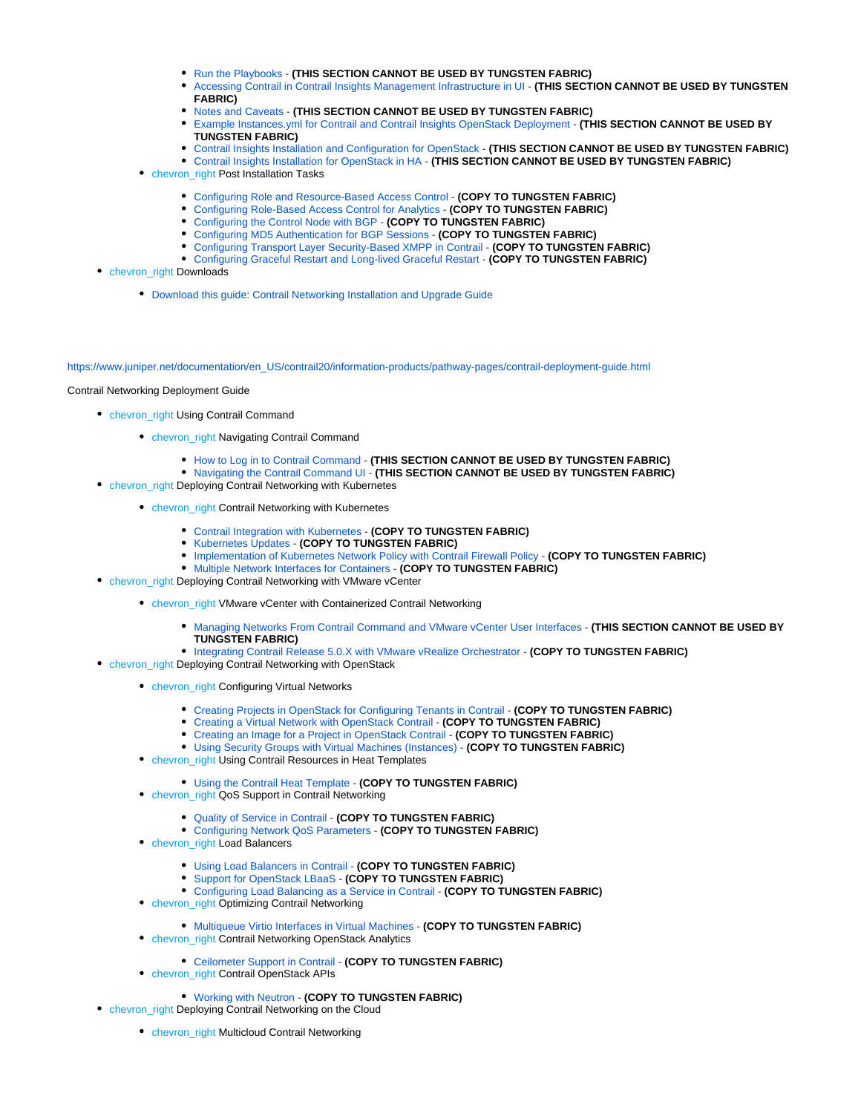- **[Run the Playbooks](https://www.juniper.net/documentation/en_US/contrail20/topics/concept/install-contrail-afx-run-playbooks.html) (THIS SECTION CANNOT BE USED BY TUNGSTEN FABRIC)**
- [Accessing Contrail in Contrail Insights Management Infrastructure in UI](https://www.juniper.net/documentation/en_US/contrail20/topics/concept/install-contrail-afx-access-contrail-ui.html) **(THIS SECTION CANNOT BE USED BY TUNGSTEN FABRIC)**
- [Notes and Caveats](https://www.juniper.net/documentation/en_US/contrail20/topics/concept/install-contrail-afx-notes-caveats.html) **(THIS SECTION CANNOT BE USED BY TUNGSTEN FABRIC)**
- [Example Instances.yml for Contrail and Contrail Insights OpenStack Deployment](https://www.juniper.net/documentation/en_US/contrail20/topics/concept/install-contrail-afx-example-instances-yaml.html) **(THIS SECTION CANNOT BE USED BY TUNGSTEN FABRIC)**
- [Contrail Insights Installation and Configuration for OpenStack](https://www.juniper.net/documentation/en_US/contrail-insights/topics/topic-map/appformix-openstack2.html) **(THIS SECTION CANNOT BE USED BY TUNGSTEN FABRIC)**
- [Contrail Insights Installation for OpenStack in HA](https://www.juniper.net/documentation/en_US/contrail20/topics/concept/install-afx-openstack-ha.html) **(THIS SECTION CANNOT BE USED BY TUNGSTEN FABRIC)**
- chevron\_right Post Installation Tasks
	- [Configuring Role and Resource-Based Access Control](https://www.juniper.net/documentation/en_US/contrail20/topics/concept/role-resource-access-control-vmc.html) **(COPY TO TUNGSTEN FABRIC)**
	- [Configuring Role-Based Access Control for Analytics](https://www.juniper.net/documentation/en_US/contrail20/topics/concept/rbac-analytics-api.html) **(COPY TO TUNGSTEN FABRIC)**
	- [Configuring the Control Node with BGP](https://www.juniper.net/documentation/en_US/contrail20/topics/topic-map/config-control-node-with-bgp.html) **(COPY TO TUNGSTEN FABRIC)**
	- [Configuring MD5 Authentication for BGP Sessions](https://www.juniper.net/documentation/en_US/contrail20/topics/task/installation/md5-authentication-configuring.html) **(COPY TO TUNGSTEN FABRIC)**
	- [Configuring Transport Layer Security-Based XMPP in Contrail](https://www.juniper.net/documentation/en_US/contrail20/topics/task/configuration/config-TLS-vncDocument1.html) **(COPY TO TUNGSTEN FABRIC)**
	- [Configuring Graceful Restart and Long-lived Graceful Restart](https://www.juniper.net/documentation/en_US/contrail20/topics/concept/graceful-restart-bgp-persist-vnc.html) **(COPY TO TUNGSTEN FABRIC)**
- chevron\_right Downloads
	- [Download this guide: Contrail Networking Installation and Upgrade Guide](https://www.juniper.net/documentation/en_US/contrail20/information-products/pathway-pages/contrail-install-and-upgrade-guide.pdf)

[https://www.juniper.net/documentation/en\\_US/contrail20/information-products/pathway-pages/contrail-deployment-guide.html](https://www.juniper.net/documentation/en_US/contrail20/information-products/pathway-pages/contrail-deployment-guide.html)

### Contrail Networking Deployment Guide

- chevron\_right Using Contrail Command
	- chevron\_right Navigating Contrail Command
		- [How to Log in to Contrail Command](https://www.juniper.net/documentation/en_US/contrail20/topics/task/operational/logging-into-contrail-command.html) **(THIS SECTION CANNOT BE USED BY TUNGSTEN FABRIC)**
		- [Navigating the Contrail Command UI](https://www.juniper.net/documentation/en_US/contrail20/topics/reference/contrail-command-ui-features.html) **(THIS SECTION CANNOT BE USED BY TUNGSTEN FABRIC)**
- chevron\_right Deploying Contrail Networking with Kubernetes
	- chevron\_right Contrail Networking with Kubernetes
		- [Contrail Integration with Kubernetes](https://www.juniper.net/documentation/en_US/contrail20/topics/concept/kubernetes-cni-contrail.html) **(COPY TO TUNGSTEN FABRIC)**
		- [Kubernetes Updates](https://www.juniper.net/documentation/en_US/contrail20/topics/concept/k8s-ip-fabric.html) **(COPY TO TUNGSTEN FABRIC)**
		- **[Implementation of Kubernetes Network Policy with Contrail Firewall Policy](https://www.juniper.net/documentation/en_US/contrail20/topics/concept/k8s-network-policy.html) (COPY TO TUNGSTEN FABRIC)**
		- [Multiple Network Interfaces for Containers](https://www.juniper.net/documentation/en_US/contrail20/topics/task/configuration/multi-network-interfaces-containers.html) **(COPY TO TUNGSTEN FABRIC)**
- **chevron\_right Deploying Contrail Networking with VMware vCenter** 
	- chevron\_right VMware vCenter with Containerized Contrail Networking
		- **[Managing Networks From Contrail Command and VMware vCenter User Interfaces](https://www.juniper.net/documentation/en_US/contrail20/topics/topic-map/vcenter-interfaces-configuration-cc.html) (THIS SECTION CANNOT BE USED BY TUNGSTEN FABRIC)**
	- [Integrating Contrail Release 5.0.X with VMware vRealize Orchestrator](https://www.juniper.net/documentation/en_US/contrail20/topics/concept/integrating-contrail501-with-vRO.html) **(COPY TO TUNGSTEN FABRIC)**
- chevron\_right Deploying Contrail Networking with OpenStack
	- **chevron right Configuring Virtual Networks** 
		- [Creating Projects in OpenStack for Configuring Tenants in Contrail](https://www.juniper.net/documentation/en_US/contrail20/topics/task/configuration/creating-projects-vnc.html) **(COPY TO TUNGSTEN FABRIC)**
		- [Creating a Virtual Network with OpenStack Contrail](https://www.juniper.net/documentation/en_US/contrail20/topics/task/configuration/creating-virtual-network-vnc.html) **(COPY TO TUNGSTEN FABRIC)**
		- [Creating an Image for a Project in OpenStack Contrail](https://www.juniper.net/documentation/en_US/contrail20/topics/task/configuration/creating-image-vnc.html) **(COPY TO TUNGSTEN FABRIC)**
		- [Using Security Groups with Virtual Machines \(Instances\)](https://www.juniper.net/documentation/en_US/contrail20/topics/task/configuration/creating-security-groups.html) **(COPY TO TUNGSTEN FABRIC)**
	- chevron\_right Using Contrail Resources in Heat Templates
		- [Using the Contrail Heat Template](https://www.juniper.net/documentation/en_US/contrail20/topics/task/configuration/heat-template-vnc.html) **(COPY TO TUNGSTEN FABRIC)**
	- chevron\_right QoS Support in Contrail Networking
		- [Quality of Service in Contrail](https://www.juniper.net/documentation/en_US/contrail20/topics/concept/network-qos-vnc-3.1.html) **(COPY TO TUNGSTEN FABRIC)**
		- [Configuring Network QoS Parameters](https://www.juniper.net/documentation/en_US/contrail20/topics/task/configuration/network-qos-configuring.html) **(COPY TO TUNGSTEN FABRIC)**
	- chevron\_right Load Balancers
		- [Using Load Balancers in Contrail](https://www.juniper.net/documentation/en_US/contrail20/topics/task/configuration/lbaas-contrail3-F5.html) **(COPY TO TUNGSTEN FABRIC)**
		- [Support for OpenStack LBaaS](https://www.juniper.net/documentation/en_US/contrail20/topics/concept/lbaas-v2-vnc.html) **(COPY TO TUNGSTEN FABRIC)**
		- [Configuring Load Balancing as a Service in Contrail](https://www.juniper.net/documentation/en_US/contrail20/topics/task/configuration/load-balance-as-service-vnc.html) **(COPY TO TUNGSTEN FABRIC)**
	- chevron\_right Optimizing Contrail Networking
		- [Multiqueue Virtio Interfaces in Virtual Machines](https://www.juniper.net/documentation/en_US/contrail20/topics/concept/multiqueue-virtio-vnc.html) **(COPY TO TUNGSTEN FABRIC)**
	- chevron\_right Contrail Networking OpenStack Analytics
		- [Ceilometer Support in Contrail](https://www.juniper.net/documentation/en_US/contrail20/topics/task/configuration/ceilometer-configuring.html) **(COPY TO TUNGSTEN FABRIC)**
	- chevron\_right Contrail OpenStack APIs
		- [Working with Neutron](https://www.juniper.net/documentation/en_US/contrail20/topics/task/configuration/neutron-perform-improve-vnc.html) **(COPY TO TUNGSTEN FABRIC)**
- chevron\_right Deploying Contrail Networking on the Cloud
	- chevron\_right Multicloud Contrail Networking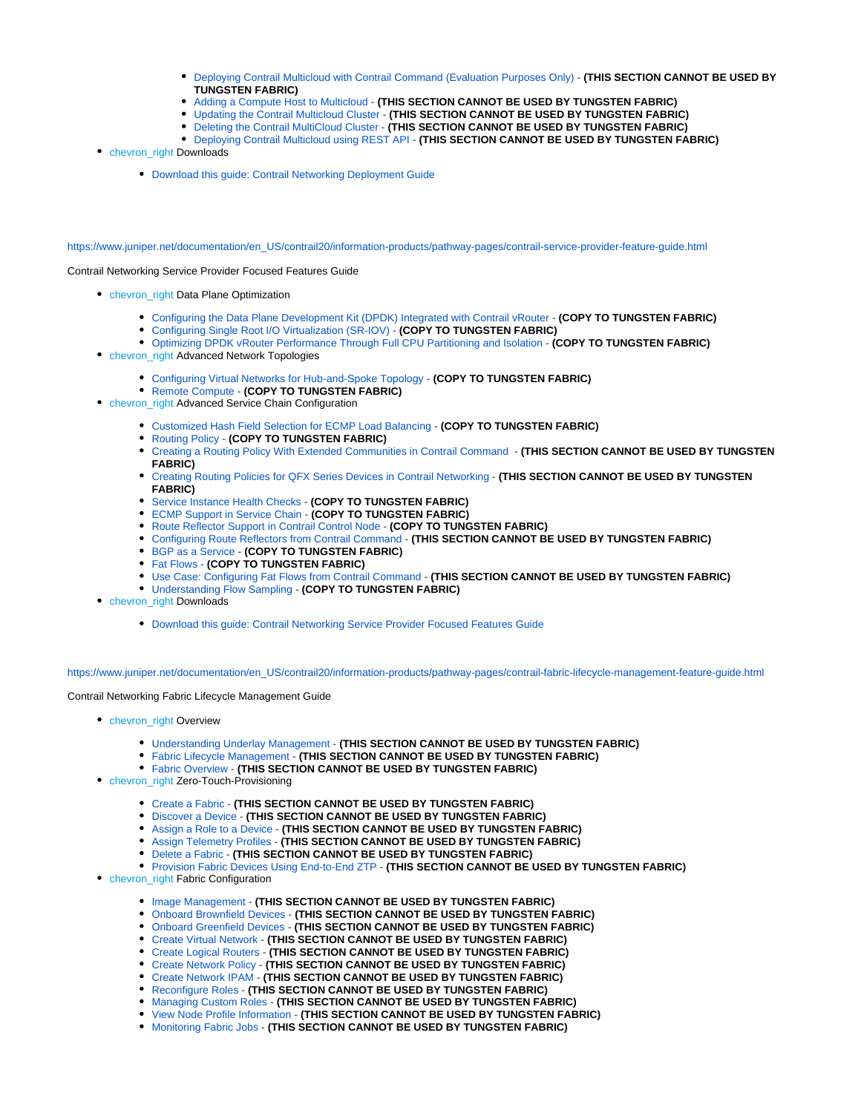- [Deploying Contrail Multicloud with Contrail Command \(Evaluation Purposes Only\)](https://www.juniper.net/documentation/en_US/contrail20/topics/task/installation/deploy-multicloud-contrail-command.html) **(THIS SECTION CANNOT BE USED BY TUNGSTEN FABRIC)**
- [Adding a Compute Host to Multicloud](https://www.juniper.net/documentation/en_US/contrail20/topics/task/configuration/modifying-multicloud-topology.html) **(THIS SECTION CANNOT BE USED BY TUNGSTEN FABRIC)**
- [Updating the Contrail Multicloud Cluster](https://www.juniper.net/documentation/en_US/contrail20/topics/task/configuration/updating-contrail-multicloud-cluster.html) **(THIS SECTION CANNOT BE USED BY TUNGSTEN FABRIC)**
- [Deleting the Contrail MultiCloud Cluster](https://www.juniper.net/documentation/en_US/contrail20/topics/task/configuration/deleting-multicloud-clusters.html) **(THIS SECTION CANNOT BE USED BY TUNGSTEN FABRIC)**
- [Deploying Contrail Multicloud using REST API](https://www.juniper.net/documentation/en_US/contrail20/topics/task/configuration/multicloud-deployment-using-API.html) **(THIS SECTION CANNOT BE USED BY TUNGSTEN FABRIC)**
- chevron\_right Downloads
	- [Download this guide: Contrail Networking Deployment Guide](https://www.juniper.net/documentation/en_US/contrail20/information-products/pathway-pages/contrail-deployment-guide.pdf)

[https://www.juniper.net/documentation/en\\_US/contrail20/information-products/pathway-pages/contrail-service-provider-feature-guide.html](https://www.juniper.net/documentation/en_US/contrail20/information-products/pathway-pages/contrail-service-provider-feature-guide.html)

Contrail Networking Service Provider Focused Features Guide

- **chevron\_right Data Plane Optimization** 
	- [Configuring the Data Plane Development Kit \(DPDK\) Integrated with Contrail vRouter](https://www.juniper.net/documentation/en_US/contrail20/topics/concept/dpdk-with-vrouter-vnc-40.html) **(COPY TO TUNGSTEN FABRIC)**
	- [Configuring Single Root I/O Virtualization \(SR-IOV\)](https://www.juniper.net/documentation/en_US/contrail20/topics/concept/sriov-with-vrouter-vnc.html) **(COPY TO TUNGSTEN FABRIC)**
	- [Optimizing DPDK vRouter Performance Through Full CPU Partitioning and Isolation](https://www.juniper.net/documentation/en_US/contrail20/topics/concept/vrouter-isolcpu.html) **(COPY TO TUNGSTEN FABRIC)**
- **chevron\_right Advanced Network Topologies** 
	- [Configuring Virtual Networks for Hub-and-Spoke Topology](https://www.juniper.net/documentation/en_US/contrail20/topics/task/configuration/hub-spoke-vnc.html) **(COPY TO TUNGSTEN FABRIC)**
	- [Remote Compute](https://www.juniper.net/documentation/en_US/contrail20/topics/concept/remote-compute-50.html) **(COPY TO TUNGSTEN FABRIC)**
- chevron\_right Advanced Service Chain Configuration
	- [Customized Hash Field Selection for ECMP Load Balancing](https://www.juniper.net/documentation/en_US/contrail20/topics/task/configuration/custom-field-hash-vnc.html) **(COPY TO TUNGSTEN FABRIC)**
	- [Routing Policy](https://www.juniper.net/documentation/en_US/contrail20/topics/concept/contrail-routing-policy-sp-features.html) **(COPY TO TUNGSTEN FABRIC)**
	- [Creating a Routing Policy With Extended Communities in Contrail Command](https://www.juniper.net/documentation/en_US/contrail20/topics/task/configuration/create-external-community-routing-policy.html)  **(THIS SECTION CANNOT BE USED BY TUNGSTEN FABRIC)**
	- [Creating Routing Policies for QFX Series Devices in Contrail Networking](https://www.juniper.net/documentation/en_US/contrail20/topics/task/configuration/configuring-qfx-series-devices-with-routing-policies.html) **(THIS SECTION CANNOT BE USED BY TUNGSTEN FABRIC)**
	- [Service Instance Health Checks](https://www.juniper.net/documentation/en_US/contrail20/topics/topic-map/service-instance-health-check.html) **(COPY TO TUNGSTEN FABRIC)**
	- [ECMP Support in Service Chain](https://www.juniper.net/documentation/en_US/contrail20/topics/concept/service-chain-ecmp-active-active-mode.html) **(COPY TO TUNGSTEN FABRIC)**
	- [Route Reflector Support in Contrail Control Node](https://www.juniper.net/documentation/en_US/contrail20/topics/concept/contrail-route-reflectors.html) **(COPY TO TUNGSTEN FABRIC)**
	- **[Configuring Route Reflectors from Contrail Command](https://www.juniper.net/documentation/en_US/contrail20/topics/task/configuration/configuring-route-reflector.html) (THIS SECTION CANNOT BE USED BY TUNGSTEN FABRIC)**
	- [BGP as a Service](https://www.juniper.net/documentation/en_US/contrail20/topics/topic-map/bgpaas-contrail.html) **(COPY TO TUNGSTEN FABRIC)**
	- [Fat Flows](https://www.juniper.net/documentation/en_US/contrail20/topics/topic-map/contrail-fat-flows.html) **(COPY TO TUNGSTEN FABRIC)**
	- [Use Case: Configuring Fat Flows from Contrail Command](https://www.juniper.net/documentation/en_US/contrail20/topics/topic-map/use-case-fat-flow.html) **(THIS SECTION CANNOT BE USED BY TUNGSTEN FABRIC)**
	- [Understanding Flow Sampling](https://www.juniper.net/documentation/en_US/contrail20/topics/concept/flow-sample-overview.html) **(COPY TO TUNGSTEN FABRIC)**
- chevron\_right Downloads
	- [Download this guide: Contrail Networking Service Provider Focused Features Guide](https://www.juniper.net/documentation/en_US/contrail20/information-products/pathway-pages/contrail-service-provider-feature-guide.pdf)

[https://www.juniper.net/documentation/en\\_US/contrail20/information-products/pathway-pages/contrail-fabric-lifecycle-management-feature-guide.html](https://www.juniper.net/documentation/en_US/contrail20/information-products/pathway-pages/contrail-fabric-lifecycle-management-feature-guide.html)

Contrail Networking Fabric Lifecycle Management Guide

- chevron\_right Overview
	- [Understanding Underlay Management](https://www.juniper.net/documentation/en_US/contrail20/topics/concept/understanding-underlay-management.html) **(THIS SECTION CANNOT BE USED BY TUNGSTEN FABRIC)**
	- [Fabric Lifecycle Management](https://www.juniper.net/documentation/en_US/contrail20/topics/concept/understanding-fabric-lifecycle-management.html) **(THIS SECTION CANNOT BE USED BY TUNGSTEN FABRIC)**
	- [Fabric Overview](https://www.juniper.net/documentation/en_US/contrail20/topics/concept/ems-fabric-management-overview.html) **(THIS SECTION CANNOT BE USED BY TUNGSTEN FABRIC)**
- **chevron\_right Zero-Touch-Provisioning** 
	- [Create a Fabric](https://www.juniper.net/documentation/en_US/contrail20/topics/task/configuration/ems-create-fabric.html) **(THIS SECTION CANNOT BE USED BY TUNGSTEN FABRIC)**
	- [Discover a Device](https://www.juniper.net/documentation/en_US/contrail20/topics/task/configuration/ems-discover-device.html) **(THIS SECTION CANNOT BE USED BY TUNGSTEN FABRIC)**
	- [Assign a Role to a Device](https://www.juniper.net/documentation/en_US/contrail20/topics/task/configuration/ems-assign-role-device.html) **(THIS SECTION CANNOT BE USED BY TUNGSTEN FABRIC)**
	- [Assign Telemetry Profiles](https://www.juniper.net/documentation/en_US/contrail20/topics/task/configuration/ems-assign-telemetry-profiles.html) **(THIS SECTION CANNOT BE USED BY TUNGSTEN FABRIC)**
	- [Delete a Fabric](https://www.juniper.net/documentation/en_US/contrail20/topics/task/configuration/ems-delete-fabric.html) **(THIS SECTION CANNOT BE USED BY TUNGSTEN FABRIC)**
	- **[Provision Fabric Devices Using End-to-End ZTP](https://www.juniper.net/documentation/en_US/contrail20/topics/task/configuration/end-end-ztp.html) (THIS SECTION CANNOT BE USED BY TUNGSTEN FABRIC)**
- **chevron\_right Fabric Configuration** 
	- [Image Management](https://www.juniper.net/documentation/en_US/contrail20/topics/task/configuration/ems-image-management.html) **(THIS SECTION CANNOT BE USED BY TUNGSTEN FABRIC)**
	- [Onboard Brownfield Devices](https://www.juniper.net/documentation/en_US/contrail20/topics/task/configuration/onboard-fabric-devices.html) **(THIS SECTION CANNOT BE USED BY TUNGSTEN FABRIC)**
	- [Onboard Greenfield Devices](https://www.juniper.net/documentation/en_US/contrail20/topics/task/configuration/onboard-fabric-devices-ztp.html) **(THIS SECTION CANNOT BE USED BY TUNGSTEN FABRIC)**
	- [Create Virtual Network](https://www.juniper.net/documentation/en_US/contrail20/topics/task/configuration/create-virtual-network.html) **(THIS SECTION CANNOT BE USED BY TUNGSTEN FABRIC)**
	- [Create Logical Routers](https://www.juniper.net/documentation/en_US/contrail20/topics/task/configuration/create-logical-router.html) **(THIS SECTION CANNOT BE USED BY TUNGSTEN FABRIC)**
	- [Create Network Policy](https://www.juniper.net/documentation/en_US/contrail20/topics/task/configuration/create-network-policy.html) **(THIS SECTION CANNOT BE USED BY TUNGSTEN FABRIC)**
	- [Create Network IPAM](https://www.juniper.net/documentation/en_US/contrail20/topics/task/configuration/create-network-ipam.html) **(THIS SECTION CANNOT BE USED BY TUNGSTEN FABRIC)**
	- [Reconfigure Roles](https://www.juniper.net/documentation/en_US/contrail20/topics/task/configuration/reconfigure-device-roles.html) **(THIS SECTION CANNOT BE USED BY TUNGSTEN FABRIC)**
	- [Managing Custom Roles](https://www.juniper.net/documentation/en_US/contrail20/topics/task/configuration/managing-custom-roles.html) **(THIS SECTION CANNOT BE USED BY TUNGSTEN FABRIC)**
	- [View Node Profile Information](https://www.juniper.net/documentation/en_US/contrail20/topics/task/configuration/ems-view-node-profile-info.html) **(THIS SECTION CANNOT BE USED BY TUNGSTEN FABRIC)**
	- [Monitoring Fabric Jobs](https://www.juniper.net/documentation/en_US/contrail20/topics/task/operational/monitoring-fabric-jobs.html) **(THIS SECTION CANNOT BE USED BY TUNGSTEN FABRIC)**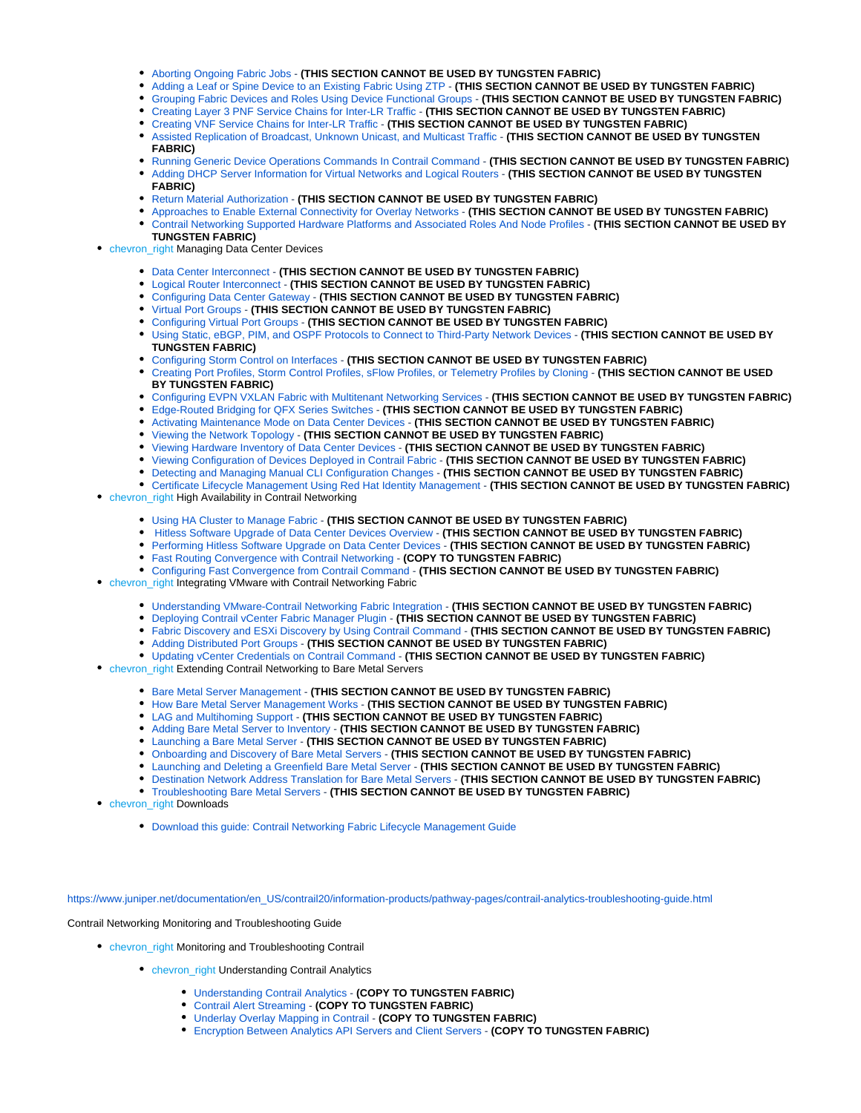- [Aborting Ongoing Fabric Jobs](https://www.juniper.net/documentation/en_US/contrail20/topics/task/configuration/aborting-ongoing-fabric-job.html) **(THIS SECTION CANNOT BE USED BY TUNGSTEN FABRIC)**
- [Adding a Leaf or Spine Device to an Existing Fabric Using ZTP](https://www.juniper.net/documentation/en_US/contrail20/topics/task/configuration/add-leaf-spine-device-to-fabric-using-ztp.html) **(THIS SECTION CANNOT BE USED BY TUNGSTEN FABRIC)**
- [Grouping Fabric Devices and Roles Using Device Functional Groups](https://www.juniper.net/documentation/en_US/contrail20/topics/task/configuration/configuring-device-functional-groups.html) **(THIS SECTION CANNOT BE USED BY TUNGSTEN FABRIC)**
- [Creating Layer 3 PNF Service Chains for Inter-LR Traffic](https://www.juniper.net/documentation/en_US/contrail20/topics/task/configuration/create-l3-pnf-service-chain.html) **(THIS SECTION CANNOT BE USED BY TUNGSTEN FABRIC)**
- [Creating VNF Service Chains for Inter-LR Traffic](https://www.juniper.net/documentation/en_US/contrail20/topics/task/configuration/create-vnf-service-chain.html) **(THIS SECTION CANNOT BE USED BY TUNGSTEN FABRIC)**
- [Assisted Replication of Broadcast, Unknown Unicast, and Multicast Traffic](https://www.juniper.net/documentation/en_US/contrail20/topics/concept/assisted-replication-contrail-networking.html) **(THIS SECTION CANNOT BE USED BY TUNGSTEN FABRIC)**
- **[Running Generic Device Operations Commands In Contrail Command](https://www.juniper.net/documentation/en_US/contrail20/topics/task/configuration/generic-device-operational-commands.html) (THIS SECTION CANNOT BE USED BY TUNGSTEN FABRIC)**
- [Adding DHCP Server Information for Virtual Networks and Logical Routers](https://www.juniper.net/documentation/en_US/contrail20/topics/topic-map/add-dhcp-server-information.html) **(THIS SECTION CANNOT BE USED BY TUNGSTEN FABRIC)**
- [Return Material Authorization](https://www.juniper.net/documentation/en_US/contrail20/topics/topic-map/return-material-authorization.html) **(THIS SECTION CANNOT BE USED BY TUNGSTEN FABRIC)**
- [Approaches to Enable External Connectivity for Overlay Networks](https://www.juniper.net/documentation/en_US/contrail20/topics/reference/external-connectivity-overlay-networks.html) **(THIS SECTION CANNOT BE USED BY TUNGSTEN FABRIC)** [Contrail Networking Supported Hardware Platforms and Associated Roles And Node Profiles](https://www.juniper.net/documentation/en_US/contrail20/topics/topic-map/contrail-supported-platforms-roles-node-profiles.html) - **(THIS SECTION CANNOT BE USED BY**

#### **TUNGSTEN FABRIC) • chevron\_right Managing Data Center Devices**

- [Data Center Interconnect](https://www.juniper.net/documentation/en_US/contrail20/topics/topic-map/data-center-interconnect-lr.html) **(THIS SECTION CANNOT BE USED BY TUNGSTEN FABRIC)**
- [Logical Router Interconnect](https://www.juniper.net/documentation/en_US/contrail20/topics/topic-map/logical-router-interconnect.html) **(THIS SECTION CANNOT BE USED BY TUNGSTEN FABRIC)**
- [Configuring Data Center Gateway](https://www.juniper.net/documentation/en_US/contrail20/topics/task/configuration/configuring-mx-qfx-datacenter-gateway.html) **(THIS SECTION CANNOT BE USED BY TUNGSTEN FABRIC)**
- [Virtual Port Groups](https://www.juniper.net/documentation/en_US/contrail20/topics/concept/contrail-virtual-port-groups.html) **(THIS SECTION CANNOT BE USED BY TUNGSTEN FABRIC)**
- [Configuring Virtual Port Groups](https://www.juniper.net/documentation/en_US/contrail20/topics/task/configuration/configuring-virtual-port-group.html) **(THIS SECTION CANNOT BE USED BY TUNGSTEN FABRIC)**
- [Using Static, eBGP, PIM, and OSPF Protocols to Connect to Third-Party Network Devices](https://www.juniper.net/documentation/en_US/contrail20/topics/topic-map/connect-third-party-device-cc.html) **(THIS SECTION CANNOT BE USED BY TUNGSTEN FABRIC)**
- [Configuring Storm Control on Interfaces](https://www.juniper.net/documentation/en_US/contrail20/topics/concept/port-profile-storm-control.html) **(THIS SECTION CANNOT BE USED BY TUNGSTEN FABRIC)**
- [Creating Port Profiles, Storm Control Profiles, sFlow Profiles, or Telemetry Profiles by Cloning](https://www.juniper.net/documentation/en_US/contrail20/topics/task/configuration/contrail-cloning-configuration-profiles.html) **(THIS SECTION CANNOT BE USED BY TUNGSTEN FABRIC)**
- [Configuring EVPN VXLAN Fabric with Multitenant Networking Services](https://www.juniper.net/documentation/en_US/contrail20/topics/concept/evpn-vxlan-multitenant-networking.html) **(THIS SECTION CANNOT BE USED BY TUNGSTEN FABRIC)**
- [Edge-Routed Bridging for QFX Series Switches](https://www.juniper.net/documentation/en_US/contrail20/topics/concept/erb-for-qfx-switches.html) **(THIS SECTION CANNOT BE USED BY TUNGSTEN FABRIC)**
- [Activating Maintenance Mode on Data Center Devices](https://www.juniper.net/documentation/en_US/contrail20/topics/task/configuration/maintenance-mode.html) **(THIS SECTION CANNOT BE USED BY TUNGSTEN FABRIC)**
- [Viewing the Network Topology](https://www.juniper.net/documentation/en_US/contrail20/topics/concept/network-topology-integration-contrail-command.html) **(THIS SECTION CANNOT BE USED BY TUNGSTEN FABRIC)**
- [Viewing Hardware Inventory of Data Center Devices](https://www.juniper.net/documentation/en_US/contrail20/topics/task/operational/view-fabric-hardware-inventory.html) **(THIS SECTION CANNOT BE USED BY TUNGSTEN FABRIC)**
- [Viewing Configuration of Devices Deployed in Contrail Fabric](https://www.juniper.net/documentation/en_US/contrail20/topics/task/configuration/viewing-device-configuration-in-fabric.html) **(THIS SECTION CANNOT BE USED BY TUNGSTEN FABRIC)**
- **[Detecting and Managing Manual CLI Configuration Changes](https://www.juniper.net/documentation/en_US/contrail20/topics/task/configuration/detecting-cli-changes.html) (THIS SECTION CANNOT BE USED BY TUNGSTEN FABRIC)**
- [Certificate Lifecycle Management Using Red Hat Identity Management](https://www.juniper.net/documentation/en_US/contrail20/topics/topic-map/certificate-lifecycle-management-using-idm.html) **(THIS SECTION CANNOT BE USED BY TUNGSTEN FABRIC) • chevron** right High Availability in Contrail Networking
	- [Using HA Cluster to Manage Fabric](https://www.juniper.net/documentation/en_US/contrail20/topics/concept/ha-cluster-manage-fabric.html) **(THIS SECTION CANNOT BE USED BY TUNGSTEN FABRIC)**
	- [Hitless Software Upgrade of Data Center Devices Overview](https://www.juniper.net/documentation/en_US/contrail20/topics/concept/hitless-upgrade.html) **(THIS SECTION CANNOT BE USED BY TUNGSTEN FABRIC)**
	- [Performing Hitless Software Upgrade on Data Center Devices](https://www.juniper.net/documentation/en_US/contrail20/topics/task/configuration/performing-hitless-upgrade-dc-device.html) **(THIS SECTION CANNOT BE USED BY TUNGSTEN FABRIC)**
	- [Fast Routing Convergence with Contrail Networking](https://www.juniper.net/documentation/en_US/contrail20/topics/topic-map/fast-routing-convergence.html) **(COPY TO TUNGSTEN FABRIC)**
- [Configuring Fast Convergence from Contrail Command](https://www.juniper.net/documentation/en_US/contrail20/topics/task/configuration/configure-fast-convergence-contrail-command.html) **(THIS SECTION CANNOT BE USED BY TUNGSTEN FABRIC)** • chevron\_right Integrating VMware with Contrail Networking Fabric
	- [Understanding VMware-Contrail Networking Fabric Integration](https://www.juniper.net/documentation/en_US/contrail20/topics/concept/understanding-vmware-fabric-mode.html) **(THIS SECTION CANNOT BE USED BY TUNGSTEN FABRIC)**
	- [Deploying Contrail vCenter Fabric Manager Plugin](https://www.juniper.net/documentation/en_US/contrail20/topics/task/installation/deploying-cvfm-plugin.html) **(THIS SECTION CANNOT BE USED BY TUNGSTEN FABRIC)**
	- [Fabric Discovery and ESXi Discovery by Using Contrail Command](https://www.juniper.net/documentation/en_US/contrail20/topics/task/configuration/fabric-esxi-discovery-cvfm.html) **(THIS SECTION CANNOT BE USED BY TUNGSTEN FABRIC)**
	- [Adding Distributed Port Groups](https://www.juniper.net/documentation/en_US/contrail20/topics/task/configuration/add-distributed-port-groups.html) **(THIS SECTION CANNOT BE USED BY TUNGSTEN FABRIC)**
	- [Updating vCenter Credentials on Contrail Command](https://www.juniper.net/documentation/en_US/contrail20/topics/task/configuration/updating-vcenter-credentials-contrail-command.html) **(THIS SECTION CANNOT BE USED BY TUNGSTEN FABRIC)**
- chevron\_right Extending Contrail Networking to Bare Metal Servers
	- **[Bare Metal Server Management](https://www.juniper.net/documentation/en_US/contrail20/topics/topic-map/bms-management.html) (THIS SECTION CANNOT BE USED BY TUNGSTEN FABRIC)**
	- [How Bare Metal Server Management Works](https://www.juniper.net/documentation/en_US/contrail20/topics/concept/how-bms-manager-works.html) **(THIS SECTION CANNOT BE USED BY TUNGSTEN FABRIC)**
	- [LAG and Multihoming Support](https://www.juniper.net/documentation/en_US/contrail20/topics/concept/LAG-and-multihoming-support.html) **(THIS SECTION CANNOT BE USED BY TUNGSTEN FABRIC)**
	- [Adding Bare Metal Server to Inventory](https://www.juniper.net/documentation/en_US/contrail20/topics/task/configuration/add-baremetal-server.html) **(THIS SECTION CANNOT BE USED BY TUNGSTEN FABRIC)**
	- [Launching a Bare Metal Server](https://www.juniper.net/documentation/en_US/contrail20/topics/task/configuration/launching-new-baremetal-server.html) **(THIS SECTION CANNOT BE USED BY TUNGSTEN FABRIC)**
	- [Onboarding and Discovery of Bare Metal Servers](https://www.juniper.net/documentation/en_US/contrail20/topics/concept/onboarding-discovery-bms.html) **(THIS SECTION CANNOT BE USED BY TUNGSTEN FABRIC)**
	- [Launching and Deleting a Greenfield Bare Metal Server](https://www.juniper.net/documentation/en_US/contrail20/topics/task/operational/launching-deleting-bms.html) **(THIS SECTION CANNOT BE USED BY TUNGSTEN FABRIC)**
	- [Destination Network Address Translation for Bare Metal Servers](https://www.juniper.net/documentation/en_US/contrail20/topics/task/configuration/dnat-for-bms.html) **(THIS SECTION CANNOT BE USED BY TUNGSTEN FABRIC)**
	- [Troubleshooting Bare Metal Servers](https://www.juniper.net/documentation/en_US/contrail20/topics/task/troubleshooting/troubleshooting-bms-manager.html) **(THIS SECTION CANNOT BE USED BY TUNGSTEN FABRIC)**
- chevron\_right Downloads
	- [Download this guide: Contrail Networking Fabric Lifecycle Management Guide](https://www.juniper.net/documentation/en_US/contrail20/information-products/pathway-pages/contrail-fabric-lifecycle-management-feature-guide.pdf)

[https://www.juniper.net/documentation/en\\_US/contrail20/information-products/pathway-pages/contrail-analytics-troubleshooting-guide.html](https://www.juniper.net/documentation/en_US/contrail20/information-products/pathway-pages/contrail-analytics-troubleshooting-guide.html)

Contrail Networking Monitoring and Troubleshooting Guide

- chevron\_right Monitoring and Troubleshooting Contrail
	- chevron\_right Understanding Contrail Analytics
		- [Understanding Contrail Analytics](https://www.juniper.net/documentation/en_US/contrail20/topics/concept/analytics-overview-vnc.html) **(COPY TO TUNGSTEN FABRIC)**
		- [Contrail Alert Streaming](https://www.juniper.net/documentation/en_US/contrail20/topics/concept/alerts-overview.html) **(COPY TO TUNGSTEN FABRIC)**
		- [Underlay Overlay Mapping in Contrail](https://www.juniper.net/documentation/en_US/contrail20/topics/task/configuration/underlay-overlay-mapping-vnc.html) **(COPY TO TUNGSTEN FABRIC)**
		- [Encryption Between Analytics API Servers and Client Servers](https://www.juniper.net/documentation/en_US/contrail20/topics/task/configuration/encrypting-connection-analytics-server-and-client-server.html) **(COPY TO TUNGSTEN FABRIC)**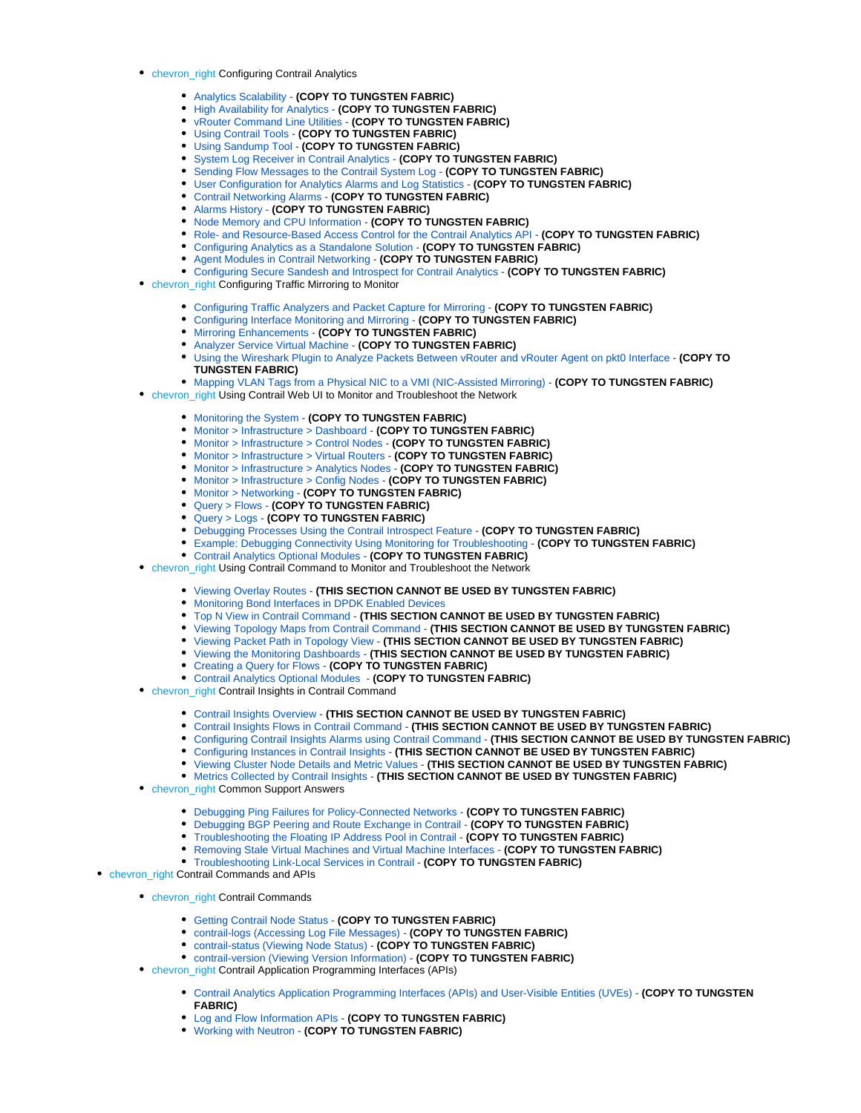- chevron\_right Configuring Contrail Analytics
	- [Analytics Scalability](https://www.juniper.net/documentation/en_US/contrail20/topics/concept/analytics-scalability-vnc.html) **(COPY TO TUNGSTEN FABRIC)**
	- [High Availability for Analytics](https://www.juniper.net/documentation/en_US/contrail20/topics/task/operational/ha-analytics-vnc.html) **(COPY TO TUNGSTEN FABRIC)**
	- [vRouter Command Line Utilities](https://www.juniper.net/documentation/en_US/contrail20/topics/task/configuration/vrouter-cli-utilities-vnc.html) **(COPY TO TUNGSTEN FABRIC)**
	- [Using Contrail Tools](https://www.juniper.net/documentation/en_US/contrail20/topics/concept/contrail-tools.html) **(COPY TO TUNGSTEN FABRIC)**
	- [Using Sandump Tool](https://www.juniper.net/documentation/en_US/contrail20/topics/task/installation/sandump-tool.html) **(COPY TO TUNGSTEN FABRIC)**
	- [System Log Receiver in Contrail Analytics](https://www.juniper.net/documentation/en_US/contrail20/topics/task/configuration/syslog-receiver-vnc.html) **(COPY TO TUNGSTEN FABRIC)**
	- [Sending Flow Messages to the Contrail System Log](https://www.juniper.net/documentation/en_US/contrail20/topics/concept/send-flow-msg-syslog.html) **(COPY TO TUNGSTEN FABRIC)**
	- [User Configuration for Analytics Alarms and Log Statistics](https://www.juniper.net/documentation/en_US/contrail20/topics/concept/analytics-user-alarms-log-statistics.html) **(COPY TO TUNGSTEN FABRIC)**
	- [Contrail Networking Alarms](https://www.juniper.net/documentation/en_US/contrail20/topics/reference/contrail-networking-alarms.html) **(COPY TO TUNGSTEN FABRIC)**
	- [Alarms History](https://www.juniper.net/documentation/en_US/contrail20/topics/concept/alarms-history.html) **(COPY TO TUNGSTEN FABRIC)**
	- [Node Memory and CPU Information](https://www.juniper.net/documentation/en_US/contrail20/topics/task/operational/analytics-node-memory-cpu-info.html) **(COPY TO TUNGSTEN FABRIC)**
	- **[Role- and Resource-Based Access Control for the Contrail Analytics API](https://www.juniper.net/documentation/en_US/contrail20/topics/task/configuration/analytics-role-resource-access-control.html) (COPY TO TUNGSTEN FABRIC)**
	- [Configuring Analytics as a Standalone Solution](https://www.juniper.net/documentation/en_US/contrail20/topics/concept/analytics-standalone-40-vnc.html) **(COPY TO TUNGSTEN FABRIC)**
	- [Agent Modules in Contrail Networking](https://www.juniper.net/documentation/en_US/contrail20/topics/concept/vrouter-agent-modules.html) **(COPY TO TUNGSTEN FABRIC)**
	- [Configuring Secure Sandesh and Introspect for Contrail Analytics](https://www.juniper.net/documentation/en_US/contrail20/topics/concept/analytics-secure-sandesh-40-vnc.html) **(COPY TO TUNGSTEN FABRIC)**
- chevron\_right Configuring Traffic Mirroring to Monitor
	- [Configuring Traffic Analyzers and Packet Capture for Mirroring](https://www.juniper.net/documentation/en_US/contrail20/topics/task/configuration/configure-traffic-analyzer-vnc.html) **(COPY TO TUNGSTEN FABRIC)**
	- [Configuring Interface Monitoring and Mirroring](https://www.juniper.net/documentation/en_US/contrail20/topics/task/configuration/interface-monitor-mirror-vnc.html) **(COPY TO TUNGSTEN FABRIC)**
	- [Mirroring Enhancements](https://www.juniper.net/documentation/en_US/contrail20/topics/concept/mirroring-enhancements-vnc.html) **(COPY TO TUNGSTEN FABRIC)**
	- [Analyzer Service Virtual Machine](https://www.juniper.net/documentation/en_US/contrail20/topics/concept/analyzer-vm.html) **(COPY TO TUNGSTEN FABRIC)**
	- [Using the Wireshark Plugin to Analyze Packets Between vRouter and vRouter Agent on pkt0 Interface](https://www.juniper.net/documentation/en_US/contrail20/topics/task/configuration/adding-agent-header-using-wireshark-plugin.html) **(COPY TO TUNGSTEN FABRIC)**
	- [Mapping VLAN Tags from a Physical NIC to a VMI \(NIC-Assisted Mirroring\)](https://www.juniper.net/documentation/en_US/contrail20/topics/concept/nic-assisted-mirroring.html) **(COPY TO TUNGSTEN FABRIC)**
- chevron\_right Using Contrail Web UI to Monitor and Troubleshoot the Network
	- [Monitoring the System](https://www.juniper.net/documentation/en_US/contrail20/topics/concept/monitor-vnc.html) **(COPY TO TUNGSTEN FABRIC)**
	- [Monitor > Infrastructure > Dashboard](https://www.juniper.net/documentation/en_US/contrail20/topics/task/configuration/monitor-dashboard-vnc.html) **(COPY TO TUNGSTEN FABRIC)**
	- [Monitor > Infrastructure > Control Nodes](https://www.juniper.net/documentation/en_US/contrail20/topics/task/configuration/monitoring-infrastructure-vnc.html) **(COPY TO TUNGSTEN FABRIC)**
	- [Monitor > Infrastructure > Virtual Routers](https://www.juniper.net/documentation/en_US/contrail20/topics/task/configuration/monitoring-vrouters-vnc.html) **(COPY TO TUNGSTEN FABRIC)**
	- [Monitor > Infrastructure > Analytics Nodes](https://www.juniper.net/documentation/en_US/contrail20/topics/task/configuration/monitor-analytics-vnc.html) **(COPY TO TUNGSTEN FABRIC)**
	- [Monitor > Infrastructure > Config Nodes](https://www.juniper.net/documentation/en_US/contrail20/topics/task/configuration/monitor-config-vnc.html) **(COPY TO TUNGSTEN FABRIC)**
	- [Monitor > Networking](https://www.juniper.net/documentation/en_US/contrail20/topics/task/configuration/monitoring-networking-vnc.html) **(COPY TO TUNGSTEN FABRIC)**
	- [Query > Flows](https://www.juniper.net/documentation/en_US/contrail20/topics/task/configuration/monitoring-flow-vnc.html) **(COPY TO TUNGSTEN FABRIC)**
	- [Query > Logs](https://www.juniper.net/documentation/en_US/contrail20/topics/task/configuration/monitoring-syslog-vnc.html) **(COPY TO TUNGSTEN FABRIC)**
	- [Debugging Processes Using the Contrail Introspect Feature](https://www.juniper.net/documentation/en_US/contrail20/topics/task/configuration/introspect-process-debugging.html) **(COPY TO TUNGSTEN FABRIC)**
	- [Example: Debugging Connectivity Using Monitoring for Troubleshooting](https://www.juniper.net/documentation/en_US/contrail20/topics/task/troubleshooting/debug-connectivity-vnc.html) **(COPY TO TUNGSTEN FABRIC)**
	- [Contrail Analytics Optional Modules](https://www.juniper.net/documentation/en_US/contrail20/topics/concept/analytics-optional-modules.html) **(COPY TO TUNGSTEN FABRIC)**
- chevron\_right Using Contrail Command to Monitor and Troubleshoot the Network
	- [Viewing Overlay Routes](https://www.juniper.net/documentation/en_US/contrail20/topics/task/operational/overlay-routes-visualizing.html) **(THIS SECTION CANNOT BE USED BY TUNGSTEN FABRIC)**
	- [Monitoring Bond Interfaces in DPDK Enabled Devices](https://www.juniper.net/documentation/en_US/contrail20/topics/task/operational/monitoring-bond-interfaces-dpdk.html)
	- [Top N View in Contrail Command](https://www.juniper.net/documentation/en_US/contrail20/topics/topic-map/cc-topn.html) **(THIS SECTION CANNOT BE USED BY TUNGSTEN FABRIC)**
	- [Viewing Topology Maps from Contrail Command](https://www.juniper.net/documentation/en_US/contrail20/topics/concept/topology-view-maps.html) **(THIS SECTION CANNOT BE USED BY TUNGSTEN FABRIC)**
	- [Viewing Packet Path in Topology View](https://www.juniper.net/documentation/en_US/contrail20/topics/concept/topology-view-packet-path.html) **(THIS SECTION CANNOT BE USED BY TUNGSTEN FABRIC)**
	- [Viewing the Monitoring Dashboards](https://www.juniper.net/documentation/en_US/contrail20/topics/concept/monitor-dashboard-cc.html) **(THIS SECTION CANNOT BE USED BY TUNGSTEN FABRIC)**
	- [Creating a Query for Flows](https://www.juniper.net/documentation/en_US/contrail20/topics/concept/query-flows-cc.html) **(COPY TO TUNGSTEN FABRIC)**
	- [Contrail Analytics Optional Modules](https://www.juniper.net/documentation/en_US/contrail20/topics/concept/analytics-optional-modules.html) **(COPY TO TUNGSTEN FABRIC)**
- chevron\_right Contrail Insights in Contrail Command
	- [Contrail Insights Overview](https://www.juniper.net/documentation/en_US/contrail20/topics/concept/analytics-overview-appformix.html) **(THIS SECTION CANNOT BE USED BY TUNGSTEN FABRIC)**
	- [Contrail Insights Flows in Contrail Command](https://www.juniper.net/documentation/en_US/contrail20/topics/topic-map/telemetry-profiles-contrail-command.html) **(THIS SECTION CANNOT BE USED BY TUNGSTEN FABRIC)**
	- [Configuring Contrail Insights Alarms using Contrail Command](https://www.juniper.net/documentation/en_US/contrail20/topics/concept/alarms-contrail-afx.html) **(THIS SECTION CANNOT BE USED BY TUNGSTEN FABRIC)**
	- [Configuring Instances in Contrail Insights](https://www.juniper.net/documentation/en_US/contrail20/topics/concept/instances-contrail-afx.html) **(THIS SECTION CANNOT BE USED BY TUNGSTEN FABRIC)**
	- [Viewing Cluster Node Details and Metric Values](https://www.juniper.net/documentation/en_US/contrail20/topics/concept/host-charts-contrail-afx.html) **(THIS SECTION CANNOT BE USED BY TUNGSTEN FABRIC)**
	- [Metrics Collected by Contrail Insights](https://www.juniper.net/documentation/en_US/contrail20/topics/concept/metrics-afx.html) **(THIS SECTION CANNOT BE USED BY TUNGSTEN FABRIC)**
- **chevron\_right Common Support Answers** 
	- [Debugging Ping Failures for Policy-Connected Networks](https://www.juniper.net/documentation/en_US/contrail20/topics/task/troubleshooting/debug-ping-failure-vnc.html) **(COPY TO TUNGSTEN FABRIC)**
	- [Debugging BGP Peering and Route Exchange in Contrail](https://www.juniper.net/documentation/en_US/contrail20/topics/task/troubleshooting/debug-bgp-peering-vnc.html) **(COPY TO TUNGSTEN FABRIC)**
	- [Troubleshooting the Floating IP Address Pool in Contrail](https://www.juniper.net/documentation/en_US/contrail20/topics/task/troubleshooting/tshoot-floating-ip-vnc.html) **(COPY TO TUNGSTEN FABRIC)**
	- [Removing Stale Virtual Machines and Virtual Machine Interfaces](https://www.juniper.net/documentation/en_US/contrail20/topics/task/troubleshooting/remove-stale-vms-vnc.html) **(COPY TO TUNGSTEN FABRIC)**
	- [Troubleshooting Link-Local Services in Contrail](https://www.juniper.net/documentation/en_US/contrail20/topics/task/troubleshooting/tshoot-link-local-vnc.html) **(COPY TO TUNGSTEN FABRIC)**
- chevron\_right Contrail Commands and APIs
	- chevron\_right Contrail Commands
		- [Getting Contrail Node Status](https://www.juniper.net/documentation/en_US/contrail20/topics/task/configuration/node-status-vnc.html) **(COPY TO TUNGSTEN FABRIC)**
		- [contrail-logs \(Accessing Log File Messages\)](https://www.juniper.net/documentation/en_US/contrail20/topics/concept/contrail-logs-vnc.html) **(COPY TO TUNGSTEN FABRIC)**
		- [contrail-status \(Viewing Node Status\)](https://www.juniper.net/documentation/en_US/contrail20/topics/reference/contrail-status.html) **(COPY TO TUNGSTEN FABRIC)**
		- [contrail-version \(Viewing Version Information\)](https://www.juniper.net/documentation/en_US/contrail20/topics/reference/contrail-version.html) **(COPY TO TUNGSTEN FABRIC)**
	- chevron\_right Contrail Application Programming Interfaces (APIs)
		- [Contrail Analytics Application Programming Interfaces \(APIs\) and User-Visible Entities \(UVEs\)](https://www.juniper.net/documentation/en_US/contrail20/topics/task/configuration/analytics-apis-vnc.html) **(COPY TO TUNGSTEN FABRIC)**
		- [Log and Flow Information APIs](https://www.juniper.net/documentation/en_US/contrail20/topics/task/configuration/analytics-apis-log-flow-vnc.html) **(COPY TO TUNGSTEN FABRIC)**
		- [Working with Neutron](https://www.juniper.net/documentation/en_US/contrail20/topics/task/configuration/neutron-perform-improve-vnc.html) **(COPY TO TUNGSTEN FABRIC)**